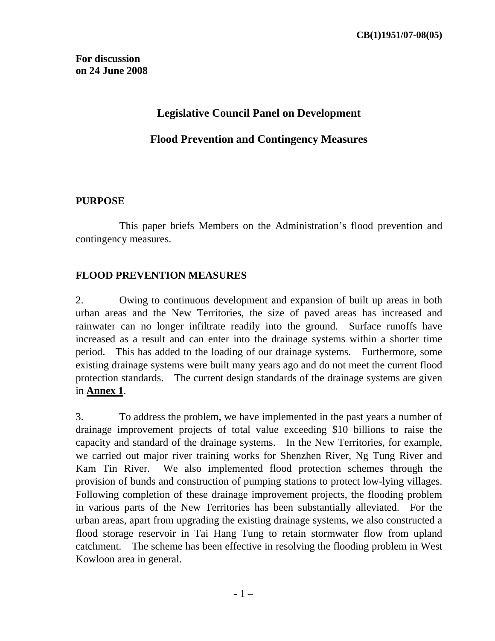## **Legislative Council Panel on Development**

### **Flood Prevention and Contingency Measures**

#### **PURPOSE**

 This paper briefs Members on the Administration's flood prevention and contingency measures.

#### **FLOOD PREVENTION MEASURES**

2. Owing to continuous development and expansion of built up areas in both urban areas and the New Territories, the size of paved areas has increased and rainwater can no longer infiltrate readily into the ground. Surface runoffs have increased as a result and can enter into the drainage systems within a shorter time period. This has added to the loading of our drainage systems. Furthermore, some existing drainage systems were built many years ago and do not meet the current flood protection standards. The current design standards of the drainage systems are given in **Annex 1**.

3. To address the problem, we have implemented in the past years a number of drainage improvement projects of total value exceeding \$10 billions to raise the capacity and standard of the drainage systems. In the New Territories, for example, we carried out major river training works for Shenzhen River, Ng Tung River and Kam Tin River. We also implemented flood protection schemes through the provision of bunds and construction of pumping stations to protect low-lying villages. Following completion of these drainage improvement projects, the flooding problem in various parts of the New Territories has been substantially alleviated. For the urban areas, apart from upgrading the existing drainage systems, we also constructed a flood storage reservoir in Tai Hang Tung to retain stormwater flow from upland catchment. The scheme has been effective in resolving the flooding problem in West Kowloon area in general.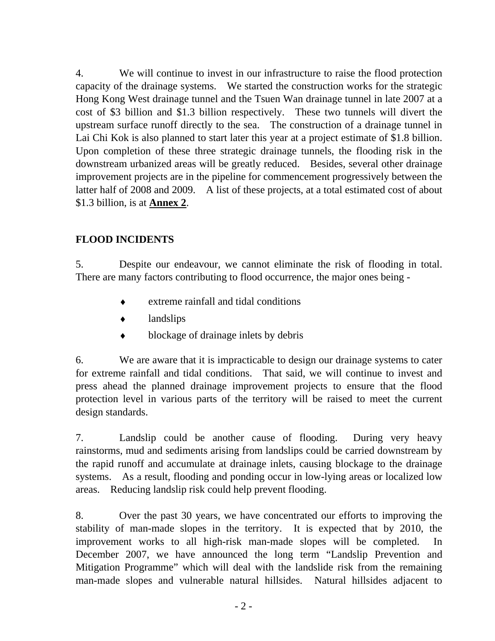4. We will continue to invest in our infrastructure to raise the flood protection capacity of the drainage systems. We started the construction works for the strategic Hong Kong West drainage tunnel and the Tsuen Wan drainage tunnel in late 2007 at a cost of \$3 billion and \$1.3 billion respectively. These two tunnels will divert the upstream surface runoff directly to the sea. The construction of a drainage tunnel in Lai Chi Kok is also planned to start later this year at a project estimate of \$1.8 billion. Upon completion of these three strategic drainage tunnels, the flooding risk in the downstream urbanized areas will be greatly reduced. Besides, several other drainage improvement projects are in the pipeline for commencement progressively between the latter half of 2008 and 2009. A list of these projects, at a total estimated cost of about \$1.3 billion, is at **Annex 2**.

## **FLOOD INCIDENTS**

5. Despite our endeavour, we cannot eliminate the risk of flooding in total. There are many factors contributing to flood occurrence, the major ones being -

- extreme rainfall and tidal conditions
- ♦ landslips
- blockage of drainage inlets by debris

6. We are aware that it is impracticable to design our drainage systems to cater for extreme rainfall and tidal conditions. That said, we will continue to invest and press ahead the planned drainage improvement projects to ensure that the flood protection level in various parts of the territory will be raised to meet the current design standards.

7. Landslip could be another cause of flooding. During very heavy rainstorms, mud and sediments arising from landslips could be carried downstream by the rapid runoff and accumulate at drainage inlets, causing blockage to the drainage systems. As a result, flooding and ponding occur in low-lying areas or localized low areas. Reducing landslip risk could help prevent flooding.

8. Over the past 30 years, we have concentrated our efforts to improving the stability of man-made slopes in the territory. It is expected that by 2010, the improvement works to all high-risk man-made slopes will be completed. In December 2007, we have announced the long term "Landslip Prevention and Mitigation Programme" which will deal with the landslide risk from the remaining man-made slopes and vulnerable natural hillsides. Natural hillsides adjacent to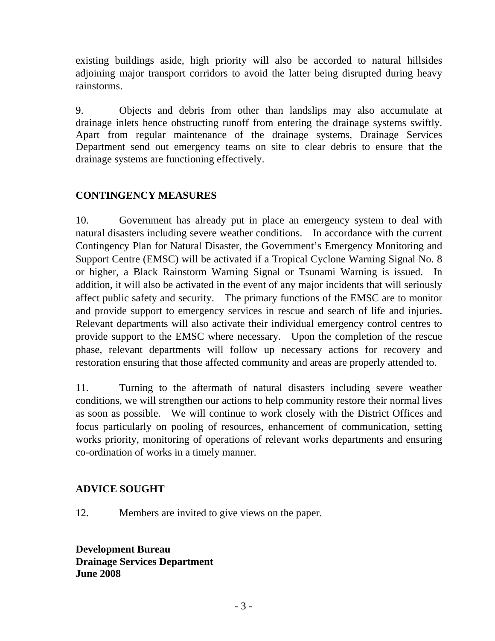existing buildings aside, high priority will also be accorded to natural hillsides adjoining major transport corridors to avoid the latter being disrupted during heavy rainstorms.

9. Objects and debris from other than landslips may also accumulate at drainage inlets hence obstructing runoff from entering the drainage systems swiftly. Apart from regular maintenance of the drainage systems, Drainage Services Department send out emergency teams on site to clear debris to ensure that the drainage systems are functioning effectively.

### **CONTINGENCY MEASURES**

10. Government has already put in place an emergency system to deal with natural disasters including severe weather conditions. In accordance with the current Contingency Plan for Natural Disaster, the Government's Emergency Monitoring and Support Centre (EMSC) will be activated if a Tropical Cyclone Warning Signal No. 8 or higher, a Black Rainstorm Warning Signal or Tsunami Warning is issued. In addition, it will also be activated in the event of any major incidents that will seriously affect public safety and security. The primary functions of the EMSC are to monitor and provide support to emergency services in rescue and search of life and injuries. Relevant departments will also activate their individual emergency control centres to provide support to the EMSC where necessary. Upon the completion of the rescue phase, relevant departments will follow up necessary actions for recovery and restoration ensuring that those affected community and areas are properly attended to.

11. Turning to the aftermath of natural disasters including severe weather conditions, we will strengthen our actions to help community restore their normal lives as soon as possible. We will continue to work closely with the District Offices and focus particularly on pooling of resources, enhancement of communication, setting works priority, monitoring of operations of relevant works departments and ensuring co-ordination of works in a timely manner.

## **ADVICE SOUGHT**

12. Members are invited to give views on the paper.

**Development Bureau Drainage Services Department June 2008**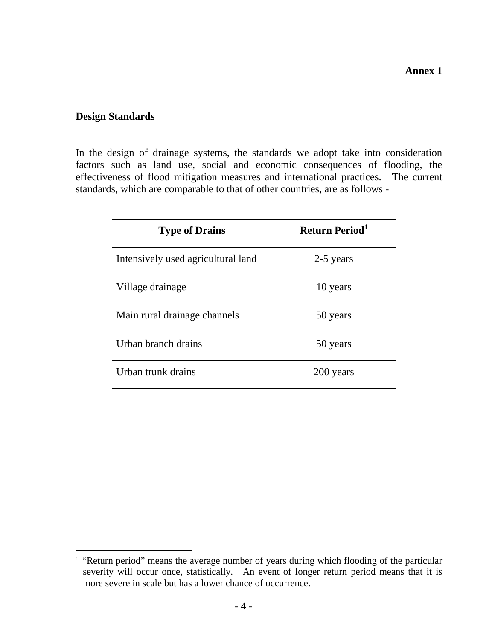#### **Annex 1**

#### **Design Standards**

 $\overline{a}$ 

In the design of drainage systems, the standards we adopt take into consideration factors such as land use, social and economic consequences of flooding, the effectiveness of flood mitigation measures and international practices. The current standards, which are comparable to that of other countries, are as follows -

| <b>Type of Drains</b>              | <b>Return Period</b> <sup>1</sup> |  |  |
|------------------------------------|-----------------------------------|--|--|
| Intensively used agricultural land | 2-5 years                         |  |  |
| Village drainage                   | 10 years                          |  |  |
| Main rural drainage channels       | 50 years                          |  |  |
| Urban branch drains                | 50 years                          |  |  |
| Urban trunk drains                 | 200 years                         |  |  |

<sup>&</sup>lt;sup>1</sup> "Return period" means the average number of years during which flooding of the particular severity will occur once, statistically. An event of longer return period means that it is more severe in scale but has a lower chance of occurrence.